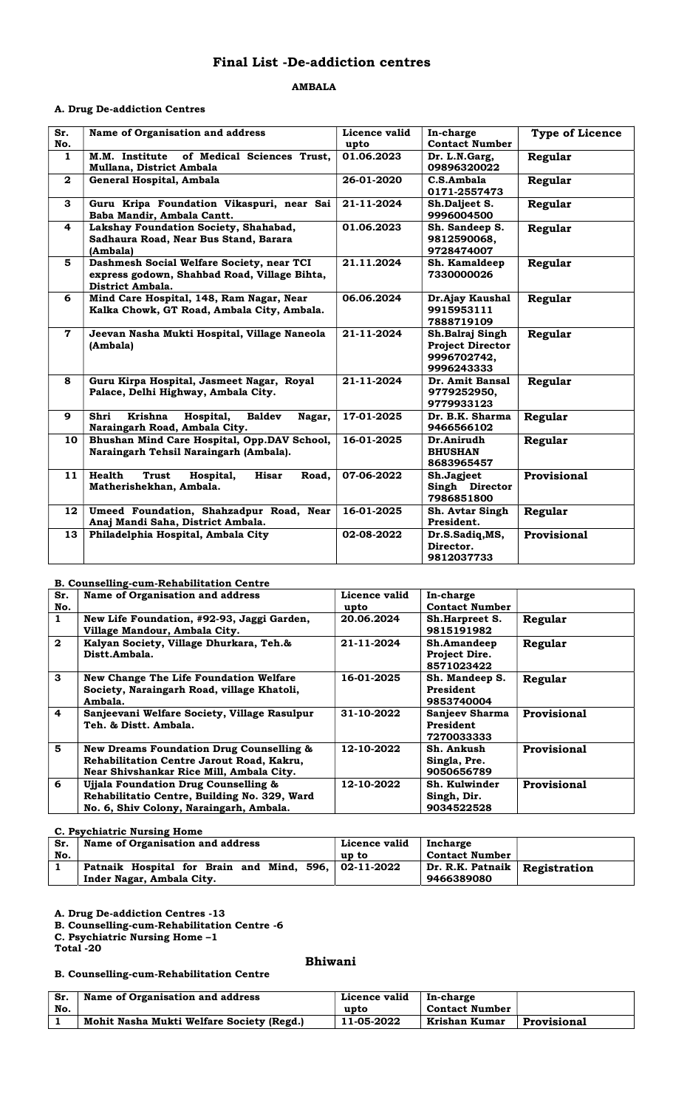# Final List -De-addiction centres

#### AMBALA

# A. Drug De-addiction Centres

| Sr.<br>No.     | Name of Organisation and address                                                                              | Licence valid<br>upto | In-charge<br><b>Contact Number</b>                                      | <b>Type of Licence</b> |
|----------------|---------------------------------------------------------------------------------------------------------------|-----------------------|-------------------------------------------------------------------------|------------------------|
| $\mathbf{1}$   | of Medical Sciences Trust,<br>M.M. Institute<br>Mullana, District Ambala                                      | 01.06.2023            | Dr. L.N.Garg,<br>09896320022                                            | Regular                |
| $\mathbf{2}$   | General Hospital, Ambala                                                                                      | 26-01-2020            | C.S.Ambala<br>0171-2557473                                              | Regular                |
| 3              | Guru Kripa Foundation Vikaspuri, near Sai<br>Baba Mandir, Ambala Cantt.                                       | 21-11-2024            | Sh.Daljeet S.<br>9996004500                                             | Regular                |
| 4              | Lakshay Foundation Society, Shahabad,<br>Sadhaura Road, Near Bus Stand, Barara<br>(Ambala)                    | 01.06.2023            | Sh. Sandeep S.<br>9812590068,<br>9728474007                             | Regular                |
| 5              | Dashmesh Social Welfare Society, near TCI<br>express godown, Shahbad Road, Village Bihta,<br>District Ambala. | 21.11.2024            | Sh. Kamaldeep<br>7330000026                                             | Regular                |
| 6              | Mind Care Hospital, 148, Ram Nagar, Near<br>Kalka Chowk, GT Road, Ambala City, Ambala.                        | 06.06.2024            | Dr.Ajay Kaushal<br>9915953111<br>7888719109                             | Regular                |
| $\overline{7}$ | Jeevan Nasha Mukti Hospital, Village Naneola<br>(Ambala)                                                      | 21-11-2024            | Sh.Balraj Singh<br><b>Project Director</b><br>9996702742,<br>9996243333 | Regular                |
| 8              | Guru Kirpa Hospital, Jasmeet Nagar, Royal<br>Palace, Delhi Highway, Ambala City.                              | 21-11-2024            | Dr. Amit Bansal<br>9779252950,<br>9779933123                            | Regular                |
| 9              | Krishna<br>Hospital,<br><b>Baldev</b><br>Shri<br>Nagar,<br>Naraingarh Road, Ambala City.                      | 17-01-2025            | Dr. B.K. Sharma<br>9466566102                                           | Regular                |
| 10             | Bhushan Mind Care Hospital, Opp.DAV School,<br>Naraingarh Tehsil Naraingarh (Ambala).                         | 16-01-2025            | Dr.Anirudh<br><b>BHUSHAN</b><br>8683965457                              | Regular                |
| 11             | Health<br><b>Hisar</b><br><b>Trust</b><br>Hospital,<br>Road.<br>Matherishekhan, Ambala.                       | 07-06-2022            | Sh.Jagjeet<br>Singh Director<br>7986851800                              | Provisional            |
| 12             | Umeed Foundation, Shahzadpur Road, Near<br>Anaj Mandi Saha, District Ambala.                                  | 16-01-2025            | Sh. Avtar Singh<br>President.                                           | Regular                |
| 13             | Philadelphia Hospital, Ambala City                                                                            | 02-08-2022            | Dr.S.Sadiq, MS,<br>Director.<br>9812037733                              | Provisional            |

#### B. Counselling-cum-Rehabilitation Centre

|                         | $\cdots$                                            |               |                       |             |
|-------------------------|-----------------------------------------------------|---------------|-----------------------|-------------|
| Sr.                     | Name of Organisation and address                    | Licence valid | In-charge             |             |
| No.                     |                                                     | upto          | <b>Contact Number</b> |             |
| 1                       | New Life Foundation, #92-93, Jaggi Garden,          | 20.06.2024    | Sh.Harpreet S.        | Regular     |
|                         | Village Mandour, Ambala City.                       |               | 9815191982            |             |
| $\mathbf{2}$            | Kalyan Society, Village Dhurkara, Teh.&             | 21-11-2024    | Sh.Amandeep           | Regular     |
|                         | Distt.Ambala.                                       |               | Project Dire.         |             |
|                         |                                                     |               | 8571023422            |             |
| 3                       | <b>New Change The Life Foundation Welfare</b>       | 16-01-2025    | Sh. Mandeep S.        | Regular     |
|                         | Society, Naraingarh Road, village Khatoli,          |               | President             |             |
|                         | Ambala.                                             |               | 9853740004            |             |
| $\overline{\mathbf{4}}$ | Sanjeevani Welfare Society, Village Rasulpur        | 31-10-2022    | Sanjeev Sharma        | Provisional |
|                         | Teh. & Distt. Ambala.                               |               | President             |             |
|                         |                                                     |               | 7270033333            |             |
| 5                       | <b>New Dreams Foundation Drug Counselling &amp;</b> | 12-10-2022    | Sh. Ankush            | Provisional |
|                         | Rehabilitation Centre Jarout Road, Kakru,           |               | Singla, Pre.          |             |
|                         | Near Shivshankar Rice Mill, Ambala City.            |               | 9050656789            |             |
| 6                       | Ujjala Foundation Drug Counselling &                | 12-10-2022    | Sh. Kulwinder         | Provisional |
|                         | Rehabilitatio Centre, Building No. 329, Ward        |               | Singh, Dir.           |             |
|                         | No. 6, Shiv Colony, Naraingarh, Ambala.             |               | 9034522528            |             |
|                         |                                                     |               |                       |             |

#### C. Psychiatric Nursing Home

| Sr. | Name of Organisation and address                     | Licence valid | Incharge                        |  |
|-----|------------------------------------------------------|---------------|---------------------------------|--|
| No. |                                                      | up to         | <b>Contact Number</b>           |  |
|     | Patnaik Hospital for Brain and Mind, 596, 02-11-2022 |               | Dr. R.K. Patnaik   Registration |  |
|     | Inder Nagar, Ambala City.                            |               | 9466389080                      |  |

A. Drug De-addiction Centres -13

B. Counselling-cum-Rehabilitation Centre -6

C. Psychiatric Nursing Home –1

Total -20

#### Bhiwani

# B. Counselling-cum-Rehabilitation Centre

| Sr. | Name of Organisation and address          | Licence valid | In-charge      |             |
|-----|-------------------------------------------|---------------|----------------|-------------|
| No. |                                           | upto          | Contact Number |             |
|     | Mohit Nasha Mukti Welfare Society (Regd.) | 11-05-2022    | Krishan Kumar  | Provisional |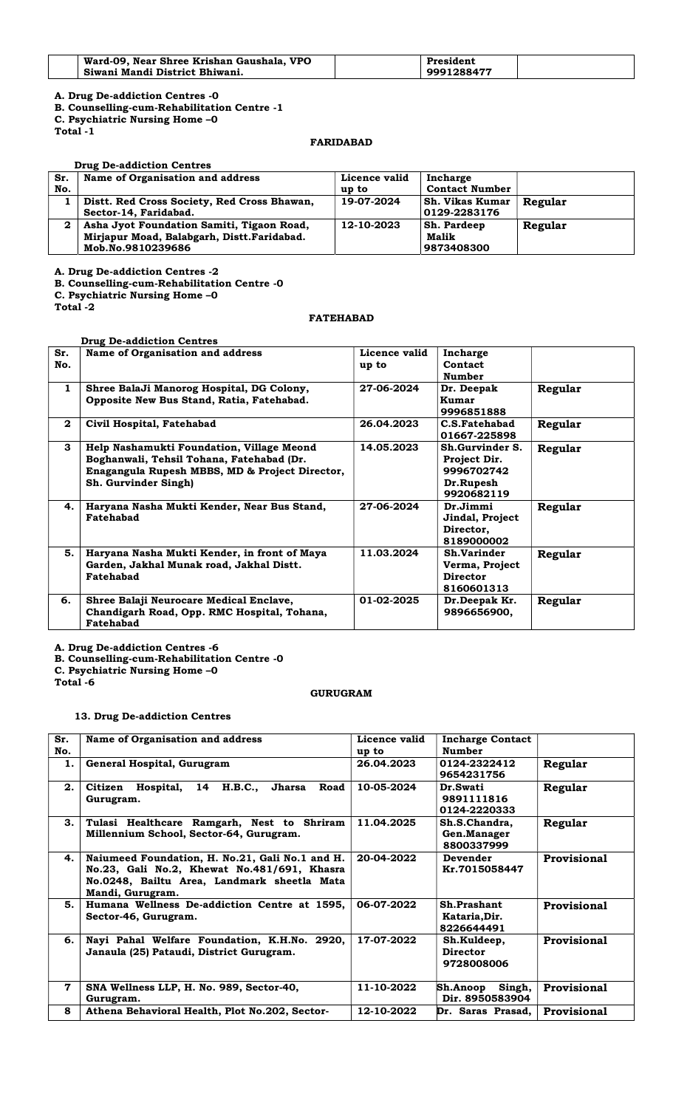| Ward-09, Near Shree Krishan Gaushala, VPO | President  |  |
|-------------------------------------------|------------|--|
| Siwani Mandi District Bhiwani.            | 9991288477 |  |

B. Counselling-cum-Rehabilitation Centre -1

C. Psychiatric Nursing Home –0

Total -1

# FARIDABAD

|     | <b>Drug De-addiction Centres</b>            |               |                        |         |
|-----|---------------------------------------------|---------------|------------------------|---------|
| Sr. | Name of Organisation and address            | Licence valid | Incharge               |         |
| No. |                                             | up to         | <b>Contact Number</b>  |         |
|     | Distt. Red Cross Society, Red Cross Bhawan, | 19-07-2024    | <b>Sh. Vikas Kumar</b> | Regular |
|     | Sector-14, Faridabad.                       |               | 0129-2283176           |         |
| 2   | Asha Jyot Foundation Samiti, Tigaon Road,   | 12-10-2023    | <b>Sh. Pardeep</b>     | Regular |
|     | Mirjapur Moad, Balabgarh, Distt.Faridabad.  |               | Malik                  |         |
|     | Mob.No.9810239686                           |               | 9873408300             |         |

A. Drug De-addiction Centres -2

B. Counselling-cum-Rehabilitation Centre -0

C. Psychiatric Nursing Home –0

Total -2

# FATEHABAD

|              | <b>Drug De-addiction Centres</b>                                                                                                                                 |                        |                                                                          |         |
|--------------|------------------------------------------------------------------------------------------------------------------------------------------------------------------|------------------------|--------------------------------------------------------------------------|---------|
| Sr.<br>No.   | Name of Organisation and address                                                                                                                                 | Licence valid<br>up to | Incharge<br>Contact<br>Number                                            |         |
| 1            | Shree BalaJi Manorog Hospital, DG Colony,<br>Opposite New Bus Stand, Ratia, Fatehabad.                                                                           | 27-06-2024             | Dr. Deepak<br>Kumar<br>9996851888                                        | Regular |
| $\mathbf{2}$ | Civil Hospital, Fatehabad                                                                                                                                        | 26.04.2023             | C.S.Fatehabad<br>01667-225898                                            | Regular |
| 3            | Help Nashamukti Foundation, Village Meond<br>Boghanwali, Tehsil Tohana, Fatehabad (Dr.<br>Enagangula Rupesh MBBS, MD & Project Director,<br>Sh. Gurvinder Singh) | 14.05.2023             | Sh.Gurvinder S.<br>Project Dir.<br>9996702742<br>Dr.Rupesh<br>9920682119 | Regular |
| 4.           | Haryana Nasha Mukti Kender, Near Bus Stand,<br>Fatehabad                                                                                                         | 27-06-2024             | Dr.Jimmi<br>Jindal, Project<br>Director,<br>8189000002                   | Regular |
| 5.           | Haryana Nasha Mukti Kender, in front of Maya<br>Garden, Jakhal Munak road, Jakhal Distt.<br>Fatehabad                                                            | 11.03.2024             | Sh.Varinder<br>Verma, Project<br><b>Director</b><br>8160601313           | Regular |
| 6.           | Shree Balaji Neurocare Medical Enclave,<br>Chandigarh Road, Opp. RMC Hospital, Tohana,<br>Fatehabad                                                              | 01-02-2025             | Dr.Deepak Kr.<br>9896656900,                                             | Regular |

A. Drug De-addiction Centres -6

B. Counselling-cum-Rehabilitation Centre -0

C. Psychiatric Nursing Home –0

Total -6

#### GURUGRAM

#### 13. Drug De-addiction Centres

| Sr.<br>No. | Name of Organisation and address                                                                                                                                  | Licence valid<br>up to | <b>Incharge Contact</b><br>Number            |                    |
|------------|-------------------------------------------------------------------------------------------------------------------------------------------------------------------|------------------------|----------------------------------------------|--------------------|
| 1.         | General Hospital, Gurugram                                                                                                                                        | 26.04.2023             | 0124-2322412<br>9654231756                   | Regular            |
| 2.         | 14 H.B.C.,<br>Hospital,<br>Jharsa<br>Road<br>Citizen<br>Gurugram.                                                                                                 | 10-05-2024             | Dr.Swati<br>9891111816<br>0124-2220333       | Regular            |
| З.         | Tulasi Healthcare Ramgarh, Nest to Shriram<br>Millennium School, Sector-64, Gurugram.                                                                             | 11.04.2025             | Sh.S.Chandra,<br>Gen.Manager<br>8800337999   | Regular            |
| 4.         | Naiumeed Foundation, H. No.21, Gali No.1 and H.<br>No.23, Gali No.2, Khewat No.481/691, Khasra<br>No.0248, Bailtu Area, Landmark sheetla Mata<br>Mandi, Gurugram. | 20-04-2022             | Devender<br>Kr.7015058447                    | Provisional        |
| 5.         | Humana Wellness De-addiction Centre at 1595,<br>Sector-46, Gurugram.                                                                                              | 06-07-2022             | Sh.Prashant<br>Kataria, Dir.<br>8226644491   | Provisional        |
| 6.         | Nayi Pahal Welfare Foundation, K.H.No. 2920,<br>Janaula (25) Pataudi, District Gurugram.                                                                          | 17-07-2022             | Sh.Kuldeep,<br><b>Director</b><br>9728008006 | <b>Provisional</b> |
| 7          | SNA Wellness LLP, H. No. 989, Sector-40,<br>Gurugram.                                                                                                             | 11-10-2022             | Sh.Anoop<br>Singh,<br>Dir. 8950583904        | <b>Provisional</b> |
| 8          | Athena Behavioral Health, Plot No.202, Sector-                                                                                                                    | 12-10-2022             | Dr. Saras Prasad,                            | Provisional        |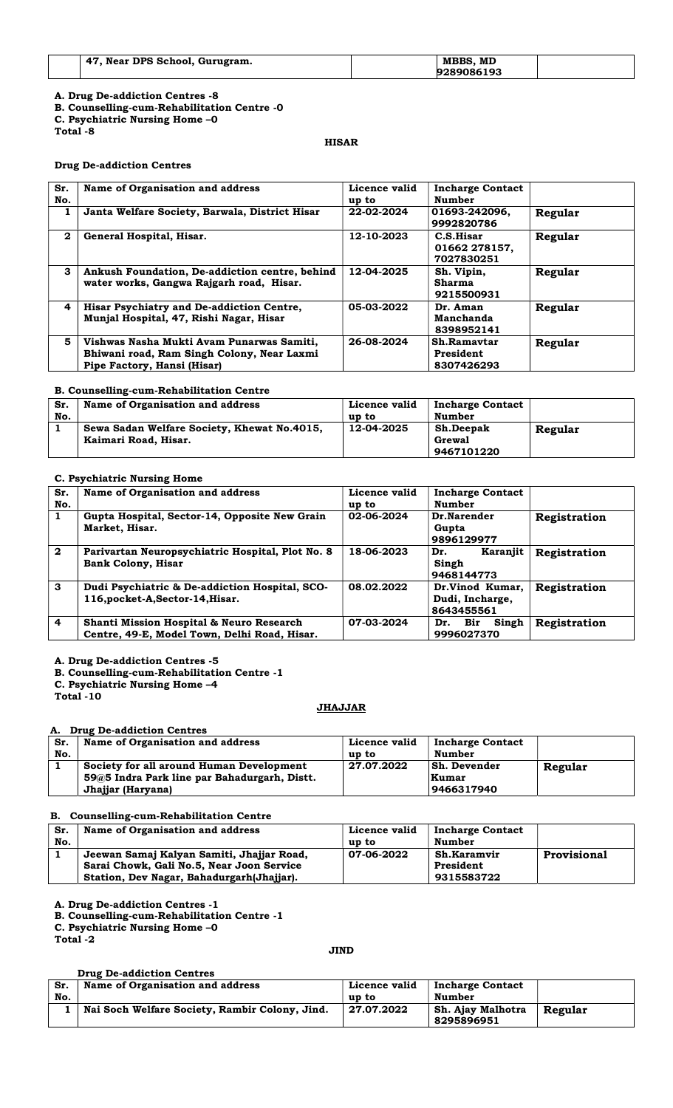- B. Counselling-cum-Rehabilitation Centre -0
- C. Psychiatric Nursing Home –0

Total -8

# HISAR

#### Drug De-addiction Centres

| Sr.<br>No.   | Name of Organisation and address                                                                                       | Licence valid<br>up to | <b>Incharge Contact</b><br><b>Number</b>  |         |
|--------------|------------------------------------------------------------------------------------------------------------------------|------------------------|-------------------------------------------|---------|
| 1            | Janta Welfare Society, Barwala, District Hisar                                                                         | 22-02-2024             | 01693-242096,<br>9992820786               | Regular |
| $\mathbf{2}$ | General Hospital, Hisar.                                                                                               | 12-10-2023             | C.S.Hisar<br>01662 278157,<br>7027830251  | Regular |
| 3            | Ankush Foundation, De-addiction centre, behind<br>water works, Gangwa Rajgarh road, Hisar.                             | 12-04-2025             | Sh. Vipin,<br><b>Sharma</b><br>9215500931 | Regular |
| 4            | Hisar Psychiatry and De-addiction Centre,<br>Munjal Hospital, 47, Rishi Nagar, Hisar                                   | 05-03-2022             | Dr. Aman<br>Manchanda<br>8398952141       | Regular |
| 5            | Vishwas Nasha Mukti Avam Punarwas Samiti,<br>Bhiwani road, Ram Singh Colony, Near Laxmi<br>Pipe Factory, Hansi (Hisar) | 26-08-2024             | Sh.Ramaytar<br>President<br>8307426293    | Regular |

#### B. Counselling-cum-Rehabilitation Centre

| Sr. | Name of Organisation and address            | Licence valid | <b>Incharge Contact</b> |         |
|-----|---------------------------------------------|---------------|-------------------------|---------|
| No. |                                             | up to         | Number                  |         |
|     | Sewa Sadan Welfare Society, Khewat No.4015, | 12-04-2025    | <b>Sh.Deepak</b>        | Regular |
|     | Kaimari Road, Hisar.                        |               | Grewal                  |         |
|     |                                             |               | 9467101220              |         |

# C. Psychiatric Nursing Home

| Sr.<br>No.              | Name of Organisation and address                                                                    | Licence valid<br>up to | <b>Incharge Contact</b><br><b>Number</b>         |              |
|-------------------------|-----------------------------------------------------------------------------------------------------|------------------------|--------------------------------------------------|--------------|
| 1                       | Gupta Hospital, Sector-14, Opposite New Grain<br>Market, Hisar.                                     | 02-06-2024             | Dr.Narender<br>Gupta<br>9896129977               | Registration |
| $\mathbf{2}$            | Parivartan Neuropsychiatric Hospital, Plot No. 8<br><b>Bank Colony, Hisar</b>                       | 18-06-2023             | Karaniit<br>Dr.<br>Singh<br>9468144773           | Registration |
| 3                       | Dudi Psychiatric & De-addiction Hospital, SCO-<br>116, pocket-A, Sector-14, Hisar.                  | 08.02.2022             | Dr.Vinod Kumar,<br>Dudi, Incharge,<br>8643455561 | Registration |
| $\overline{\mathbf{4}}$ | <b>Shanti Mission Hospital &amp; Neuro Research</b><br>Centre, 49-E, Model Town, Delhi Road, Hisar. | 07-03-2024             | Singh<br>Dr. Bir<br>9996027370                   | Registration |

A. Drug De-addiction Centres -5

B. Counselling-cum-Rehabilitation Centre -1

C. Psychiatric Nursing Home –4

Total -10

#### **JHAJJAR**

#### A. Drug De-addiction Centres

| Sr. | Name of Organisation and address                                                                              | Licence valid | <b>Incharge Contact</b>             |         |
|-----|---------------------------------------------------------------------------------------------------------------|---------------|-------------------------------------|---------|
| No. |                                                                                                               | up to         | Number                              |         |
|     | Society for all around Human Development<br>59@5 Indra Park line par Bahadurgarh, Distt.<br>Jhajjar (Haryana) | 27.07.2022    | Sh. Devender<br>Kumar<br>9466317940 | Regular |

# B. Counselling-cum-Rehabilitation Centre

| Sr. | Name of Organisation and address          | Licence valid | <b>Incharge Contact</b> |             |
|-----|-------------------------------------------|---------------|-------------------------|-------------|
| No. |                                           | up to         | Number                  |             |
|     | Jeewan Samaj Kalyan Samiti, Jhajjar Road, | 07-06-2022    | Sh.Karamvir             | Provisional |
|     | Sarai Chowk, Gali No.5, Near Joon Service |               | President               |             |
|     | Station, Dev Nagar, Bahadurgarh(Jhajjar). |               | 9315583722              |             |

A. Drug De-addiction Centres -1

B. Counselling-cum-Rehabilitation Centre -1

C. Psychiatric Nursing Home –0

Total -2

# JIND

#### Drug De-addiction Centres Sr. No. Name of Organisation and address <br>
Licence valid  $\frac{up to}{27.07.2022}$ Incharge Contact Number 1 | Nai Soch Welfare Society, Rambir Colony, Jind. Sh. Ajay Malhotra<br>8295896951 Regular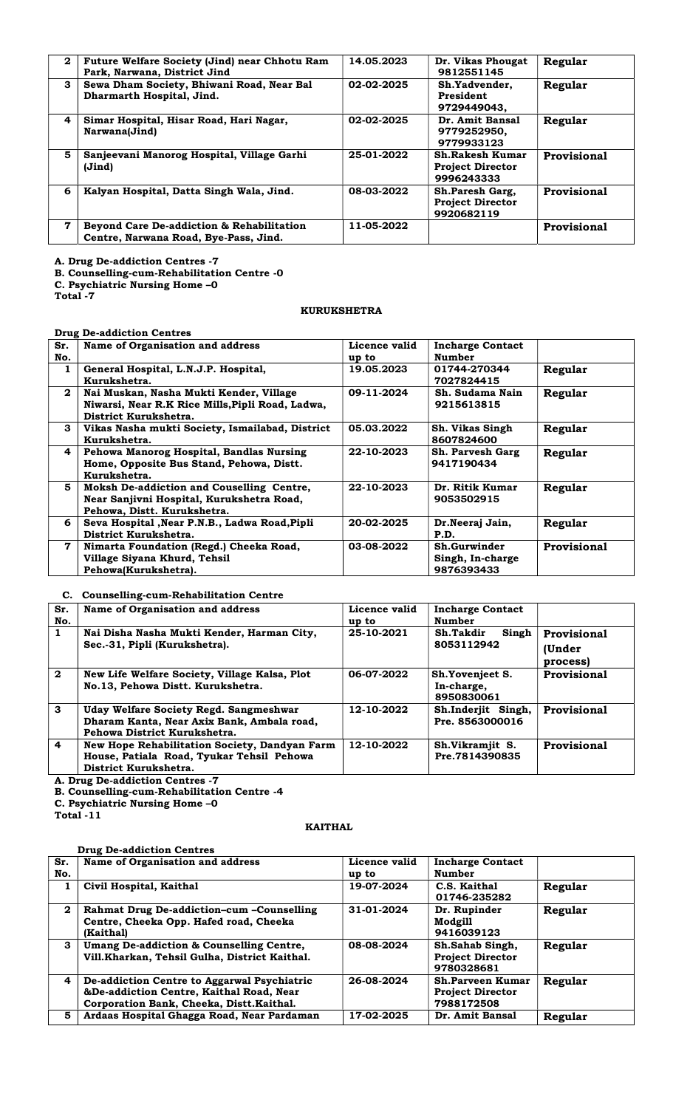| $\mathbf{2}$ | Future Welfare Society (Jind) near Chhotu Ram<br>Park, Narwana, District Jind      | 14.05.2023 | Dr. Vikas Phougat<br>9812551145                                 | Regular     |
|--------------|------------------------------------------------------------------------------------|------------|-----------------------------------------------------------------|-------------|
| 3            | Sewa Dham Society, Bhiwani Road, Near Bal<br>Dharmarth Hospital, Jind.             | 02-02-2025 | Sh.Yadvender.<br>President<br>9729449043.                       | Regular     |
| 4            | Simar Hospital, Hisar Road, Hari Nagar,<br>Narwana(Jind)                           | 02-02-2025 | Dr. Amit Bansal<br>9779252950,<br>9779933123                    | Regular     |
| 5            | Sanjeevani Manorog Hospital, Village Garhi<br>(Jind)                               | 25-01-2022 | <b>Sh.Rakesh Kumar</b><br><b>Project Director</b><br>9996243333 | Provisional |
| 6            | Kalyan Hospital, Datta Singh Wala, Jind.                                           | 08-03-2022 | Sh.Paresh Garg,<br><b>Project Director</b><br>9920682119        | Provisional |
| 7            | Beyond Care De-addiction & Rehabilitation<br>Centre, Narwana Road, Bye-Pass, Jind. | 11-05-2022 |                                                                 | Provisional |

B. Counselling-cum-Rehabilitation Centre -0

C. Psychiatric Nursing Home –0

Total -7

#### KURUKSHETRA

Drug De-addiction Centres

| Sr. | Name of Organisation and address                 | Licence valid | <b>Incharge Contact</b> |             |
|-----|--------------------------------------------------|---------------|-------------------------|-------------|
| No. |                                                  | up to         | <b>Number</b>           |             |
| 1   | General Hospital, L.N.J.P. Hospital,             | 19.05.2023    | 01744-270344            | Regular     |
|     | Kurukshetra.                                     |               | 7027824415              |             |
|     |                                                  |               |                         |             |
| 2   | Nai Muskan, Nasha Mukti Kender, Village          | 09-11-2024    | Sh. Sudama Nain         | Regular     |
|     | Niwarsi, Near R.K Rice Mills, Pipli Road, Ladwa, |               | 9215613815              |             |
|     | District Kurukshetra.                            |               |                         |             |
| 3   |                                                  |               |                         |             |
|     | Vikas Nasha mukti Society, Ismailabad, District  | 05.03.2022    | Sh. Vikas Singh         | Regular     |
|     | Kurukshetra.                                     |               | 8607824600              |             |
| 4   | Pehowa Manorog Hospital, Bandlas Nursing         | 22-10-2023    | Sh. Parvesh Garg        | Regular     |
|     | Home, Opposite Bus Stand, Pehowa, Distt.         |               | 9417190434              |             |
|     |                                                  |               |                         |             |
|     | Kurukshetra.                                     |               |                         |             |
| 5   | Moksh De-addiction and Couselling Centre,        | 22-10-2023    | Dr. Ritik Kumar         | Regular     |
|     | Near Sanjivni Hospital, Kurukshetra Road,        |               | 9053502915              |             |
|     |                                                  |               |                         |             |
|     | Pehowa, Distt. Kurukshetra.                      |               |                         |             |
| 6   | Seva Hospital , Near P.N.B., Ladwa Road, Pipli   | 20-02-2025    | Dr.Neeraj Jain,         | Regular     |
|     | District Kurukshetra.                            |               | P.D.                    |             |
| 7   | Nimarta Foundation (Regd.) Cheeka Road,          | 03-08-2022    | Sh.Gurwinder            | Provisional |
|     |                                                  |               |                         |             |
|     | Village Siyana Khurd, Tehsil                     |               | Singh, In-charge        |             |
|     | Pehowa(Kurukshetra).                             |               | 9876393433              |             |
|     |                                                  |               |                         |             |

#### C. Counselling-cum-Rehabilitation Centre

| Sr.<br>No.              | Name of Organisation and address                                                                                     | Licence valid<br>up to | <b>Incharge Contact</b><br>Number           |                                          |
|-------------------------|----------------------------------------------------------------------------------------------------------------------|------------------------|---------------------------------------------|------------------------------------------|
| 1                       | Nai Disha Nasha Mukti Kender, Harman City,<br>Sec.-31, Pipli (Kurukshetra).                                          | 25-10-2021             | Singh<br>Sh.Takdir<br>8053112942            | <b>Provisional</b><br>(Under<br>process) |
| $\mathbf{2}$            | New Life Welfare Society, Village Kalsa, Plot<br>No.13, Pehowa Distt. Kurukshetra.                                   | 06-07-2022             | Sh.Yovenjeet S.<br>In-charge,<br>8950830061 | Provisional                              |
| $\mathbf{3}$            | Uday Welfare Society Regd. Sangmeshwar<br>Dharam Kanta, Near Axix Bank, Ambala road,<br>Pehowa District Kurukshetra. | 12-10-2022             | Sh.Inderjit Singh,<br>Pre. 8563000016       | Provisional                              |
| $\overline{\mathbf{4}}$ | New Hope Rehabilitation Society, Dandyan Farm<br>House, Patiala Road, Tyukar Tehsil Pehowa<br>District Kurukshetra.  | 12-10-2022             | Sh.Vikramjit S.<br>Pre.7814390835           | Provisional                              |

A. Drug De-addiction Centres -7

B. Counselling-cum-Rehabilitation Centre -4

C. Psychiatric Nursing Home –0

Total -11

# KAITHAL

|  | <b>Drug De-addiction Centres</b> |  |
|--|----------------------------------|--|
|--|----------------------------------|--|

| Sr.<br>No. | Name of Organisation and address                                                                                                    | Licence valid<br>up to | <b>Incharge Contact</b><br><b>Number</b>                         |         |
|------------|-------------------------------------------------------------------------------------------------------------------------------------|------------------------|------------------------------------------------------------------|---------|
| 1          | Civil Hospital, Kaithal                                                                                                             | 19-07-2024             | C.S. Kaithal<br>01746-235282                                     | Regular |
| 2          | Rahmat Drug De-addiction-cum -Counselling<br>Centre, Cheeka Opp. Hafed road, Cheeka<br>(Kaithal)                                    | 31-01-2024             | Dr. Rupinder<br>Modgill<br>9416039123                            | Regular |
| 3          | Umang De-addiction & Counselling Centre,<br>Vill.Kharkan, Tehsil Gulha, District Kaithal.                                           | 08-08-2024             | Sh.Sahab Singh,<br><b>Project Director</b><br>9780328681         | Regular |
| 4          | De-addiction Centre to Aggarwal Psychiatric<br>&De-addiction Centre, Kaithal Road, Near<br>Corporation Bank, Cheeka, Distt.Kaithal. | 26-08-2024             | <b>Sh.Parveen Kumar</b><br><b>Project Director</b><br>7988172508 | Regular |
| 5          | Ardaas Hospital Ghagga Road, Near Pardaman                                                                                          | 17-02-2025             | Dr. Amit Bansal                                                  | Regular |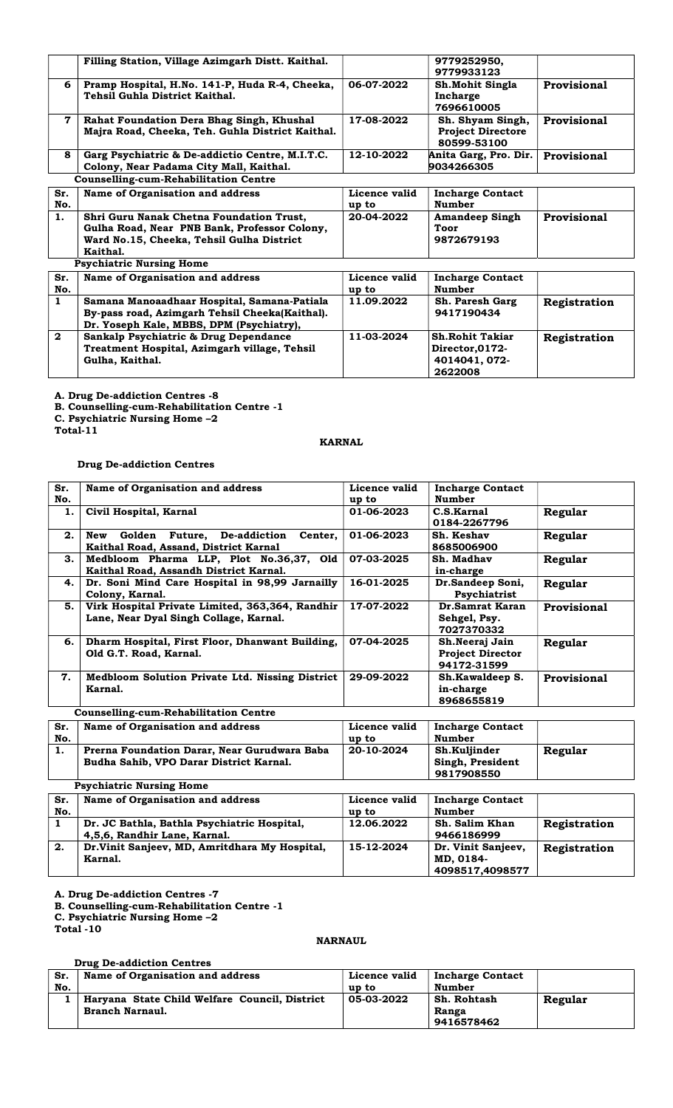|                | Filling Station, Village Azimgarh Distt. Kaithal.                                                                                                 |                        | 9779252950,<br>9779933123                                             |                    |
|----------------|---------------------------------------------------------------------------------------------------------------------------------------------------|------------------------|-----------------------------------------------------------------------|--------------------|
| 6              | Pramp Hospital, H.No. 141-P, Huda R-4, Cheeka,<br>Tehsil Guhla District Kaithal.                                                                  | 06-07-2022             | Sh. Mohit Singla<br>Incharge<br>7696610005                            | Provisional        |
| $\overline{7}$ | Rahat Foundation Dera Bhag Singh, Khushal<br>Majra Road, Cheeka, Teh. Guhla District Kaithal.                                                     | 17-08-2022             | Sh. Shyam Singh,<br><b>Project Directore</b><br>80599-53100           | <b>Provisional</b> |
| 8              | Garg Psychiatric & De-addictio Centre, M.I.T.C.<br>Colony, Near Padama City Mall, Kaithal.                                                        | 12-10-2022             | Anita Garg, Pro. Dir.<br>9034266305                                   | Provisional        |
|                | <b>Counselling-cum-Rehabilitation Centre</b>                                                                                                      |                        |                                                                       |                    |
| Sr.<br>No.     | Name of Organisation and address                                                                                                                  | Licence valid<br>up to | <b>Incharge Contact</b><br><b>Number</b>                              |                    |
| 1.             | Shri Guru Nanak Chetna Foundation Trust,<br>Gulha Road, Near PNB Bank, Professor Colony,<br>Ward No.15, Cheeka, Tehsil Gulha District<br>Kaithal. | 20-04-2022             | <b>Amandeep Singh</b><br>Toor<br>9872679193                           | Provisional        |
|                | <b>Psychiatric Nursing Home</b>                                                                                                                   |                        |                                                                       |                    |
| Sr.<br>No.     | Name of Organisation and address                                                                                                                  | Licence valid<br>up to | <b>Incharge Contact</b><br><b>Number</b>                              |                    |
| $\mathbf{1}$   | Samana Manoaadhaar Hospital, Samana-Patiala<br>By-pass road, Azimgarh Tehsil Cheeka(Kaithal).<br>Dr. Yoseph Kale, MBBS, DPM (Psychiatry),         | 11.09.2022             | Sh. Paresh Garg<br>9417190434                                         | Registration       |
| $\mathbf{2}$   | Sankalp Psychiatric & Drug Dependance<br>Treatment Hospital, Azimgarh village, Tehsil<br>Gulha, Kaithal.                                          | 11-03-2024             | <b>Sh.Rohit Takiar</b><br>Director, 0172-<br>4014041, 072-<br>2622008 | Registration       |

B. Counselling-cum-Rehabilitation Centre -1

C. Psychiatric Nursing Home –2

Total-11

# KARNAL

#### Drug De-addiction Centres

| Sr.<br>No. | Name of Organisation and address                                                                 | Licence valid<br>up to | <b>Incharge Contact</b><br>Number                        |                    |
|------------|--------------------------------------------------------------------------------------------------|------------------------|----------------------------------------------------------|--------------------|
| 1.         | Civil Hospital, Karnal                                                                           | 01-06-2023             | C.S.Karnal<br>0184-2267796                               | Regular            |
| 2.         | <b>Future.</b> De-addiction<br>Center.<br>New<br>Golden<br>Kaithal Road, Assand, District Karnal | 01-06-2023             | Sh. Keshav<br>8685006900                                 | Regular            |
| 3.         | Medbloom Pharma LLP, Plot No.36,37, Old<br>Kaithal Road, Assandh District Karnal.                | 07-03-2025             | Sh. Madhav<br>in-charge                                  | Regular            |
| 4.         | Dr. Soni Mind Care Hospital in 98,99 Jarnailly<br>Colony, Karnal.                                | 16-01-2025             | Dr.Sandeep Soni,<br>Psychiatrist                         | Regular            |
| 5.         | Virk Hospital Private Limited, 363,364, Randhir<br>Lane, Near Dyal Singh Collage, Karnal.        | 17-07-2022             | Dr.Samrat Karan<br>Sehgel, Psy.<br>7027370332            | <b>Provisional</b> |
| 6.         | Dharm Hospital, First Floor, Dhanwant Building,<br>Old G.T. Road, Karnal.                        | 07-04-2025             | Sh.Neeraj Jain<br><b>Project Director</b><br>94172-31599 | Regular            |
| 7.         | Medbloom Solution Private Ltd. Nissing District<br>Karnal.                                       | 29-09-2022             | Sh.Kawaldeep S.<br>in-charge<br>8968655819               | Provisional        |
|            | <b>Counselling-cum-Rehabilitation Centre</b>                                                     |                        |                                                          |                    |

| Sr. | Name of Organisation and address                                                        | Licence valid | <b>Incharge Contact</b>          |         |
|-----|-----------------------------------------------------------------------------------------|---------------|----------------------------------|---------|
| No. |                                                                                         | up to         | Number                           |         |
| 1.  | Prerna Foundation Darar, Near Gurudwara Baba<br>Budha Sahib, VPO Darar District Karnal. | 20-10-2024    | Sh.Kuljinder<br>Singh, President | Regular |
|     |                                                                                         |               | 9817908550                       |         |

| <b>Psychiatric Nursing Home</b> |                                                |               |                         |              |
|---------------------------------|------------------------------------------------|---------------|-------------------------|--------------|
| Sr.                             | Name of Organisation and address               | Licence valid | <b>Incharge Contact</b> |              |
| No.                             |                                                | up to         | <b>Number</b>           |              |
|                                 | Dr. JC Bathla, Bathla Psychiatric Hospital,    | 12.06.2022    | Sh. Salim Khan          | Registration |
|                                 | 4,5,6, Randhir Lane, Karnal.                   |               | 9466186999              |              |
| 2.                              | Dr. Vinit Sanjeev, MD, Amritdhara My Hospital, | 15-12-2024    | Dr. Vinit Sanjeev,      | Registration |
|                                 | Karnal.                                        |               | MD, 0184-               |              |
|                                 |                                                |               | 4098517,4098577         |              |

A. Drug De-addiction Centres -7

B. Counselling-cum-Rehabilitation Centre -1

C. Psychiatric Nursing Home –2

Total -10

# NARNAUL

# Drug De-addiction Centres

| Sr. | Name of Organisation and address              | Licence valid | <b>Incharge Contact</b> |         |
|-----|-----------------------------------------------|---------------|-------------------------|---------|
| No. |                                               | up to         | Number                  |         |
|     | Haryana State Child Welfare Council, District | 05-03-2022    | Sh. Rohtash             | Regular |
|     | <b>Branch Narnaul.</b>                        |               | Ranga                   |         |
|     |                                               |               | 9416578462              |         |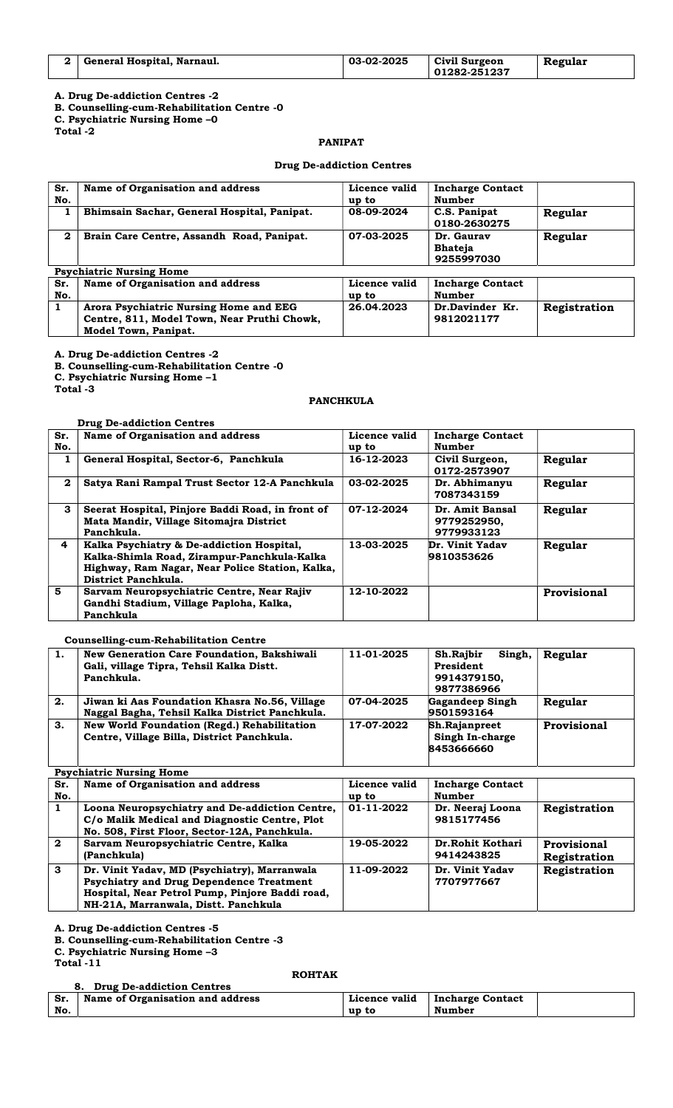| 2   General Hospital, Narnaul. | 03-02-2025 | Civil Surgeon | Regular |
|--------------------------------|------------|---------------|---------|
|                                |            | 01282-251237  |         |

B. Counselling-cum-Rehabilitation Centre -0

C. Psychiatric Nursing Home –0

Total -2

# PANIPAT

#### Drug De-addiction Centres

| Sr.<br>No.   | Name of Organisation and address                                                                                     | Licence valid<br>up to | <b>Incharge Contact</b><br><b>Number</b>   |              |
|--------------|----------------------------------------------------------------------------------------------------------------------|------------------------|--------------------------------------------|--------------|
| 1            | Bhimsain Sachar, General Hospital, Panipat.                                                                          | 08-09-2024             | C.S. Panipat<br>0180-2630275               | Regular      |
| $\mathbf{2}$ | Brain Care Centre, Assandh Road, Panipat.                                                                            | 07-03-2025             | Dr. Gaurav<br><b>Bhateja</b><br>9255997030 | Regular      |
|              | <b>Psychiatric Nursing Home</b>                                                                                      |                        |                                            |              |
| Sr.<br>No.   | Name of Organisation and address                                                                                     | Licence valid<br>up to | <b>Incharge Contact</b><br><b>Number</b>   |              |
| 1            | Arora Psychiatric Nursing Home and EEG<br>Centre, 811, Model Town, Near Pruthi Chowk,<br><b>Model Town, Panipat.</b> | 26.04.2023             | Dr.Davinder Kr.<br>9812021177              | Registration |

A. Drug De-addiction Centres -2

B. Counselling-cum-Rehabilitation Centre -0

C. Psychiatric Nursing Home –1

Total -3

#### PANCHKULA

#### Drug De-addiction Centres

| Sr.<br>No.              | Name of Organisation and address                                                                                                                                   | Licence valid<br>up to | <b>Incharge Contact</b><br>Number            |             |
|-------------------------|--------------------------------------------------------------------------------------------------------------------------------------------------------------------|------------------------|----------------------------------------------|-------------|
| 1                       | General Hospital, Sector-6, Panchkula                                                                                                                              | 16-12-2023             | Civil Surgeon,<br>0172-2573907               | Regular     |
| $\mathbf{2}$            | Satya Rani Rampal Trust Sector 12-A Panchkula                                                                                                                      | 03-02-2025             | Dr. Abhimanyu<br>7087343159                  | Regular     |
| 3                       | Seerat Hospital, Pinjore Baddi Road, in front of<br>Mata Mandir, Village Sitomajra District<br>Panchkula.                                                          | 07-12-2024             | Dr. Amit Bansal<br>9779252950,<br>9779933123 | Regular     |
| $\overline{\mathbf{4}}$ | Kalka Psychiatry & De-addiction Hospital,<br>Kalka-Shimla Road, Zirampur-Panchkula-Kalka<br>Highway, Ram Nagar, Near Police Station, Kalka,<br>District Panchkula. | 13-03-2025             | Dr. Vinit Yadav<br>9810353626                | Regular     |
| 5                       | Sarvam Neuropsychiatric Centre, Near Rajiv<br>Gandhi Stadium, Village Paploha, Kalka,<br>Panchkula                                                                 | 12-10-2022             |                                              | Provisional |

# Counselling-cum-Rehabilitation Centre

| 1. | New Generation Care Foundation, Bakshiwali<br>Gali, village Tipra, Tehsil Kalka Distt.<br>Panchkula. | 11-01-2025 | Sh.Rajbir<br>Singh,<br>President<br>9914379150,<br>9877386966 | Regular            |
|----|------------------------------------------------------------------------------------------------------|------------|---------------------------------------------------------------|--------------------|
| 2. | Jiwan ki Aas Foundation Khasra No.56, Village<br>Naggal Bagha, Tehsil Kalka District Panchkula.      | 07-04-2025 | <b>Gagandeep Singh</b><br>9501593164                          | Regular            |
| З. | New World Foundation (Regd.) Rehabilitation<br>Centre, Village Billa, District Panchkula.            | 17-07-2022 | <b>Sh.Rajanpreet</b><br>Singh In-charge<br>8453666660         | <b>Provisional</b> |

# Psychiatric Nursing Home

|              | 1970mmuno nunome nomo                           |               |                         |              |  |  |
|--------------|-------------------------------------------------|---------------|-------------------------|--------------|--|--|
| Sr.          | Name of Organisation and address                | Licence valid | <b>Incharge Contact</b> |              |  |  |
| No.          |                                                 | up to         | Number                  |              |  |  |
| 1            | Loona Neuropsychiatry and De-addiction Centre,  | 01-11-2022    | Dr. Neeraj Loona        | Registration |  |  |
|              | C/o Malik Medical and Diagnostic Centre, Plot   |               | 9815177456              |              |  |  |
|              | No. 508, First Floor, Sector-12A, Panchkula.    |               |                         |              |  |  |
| $\mathbf{2}$ | Sarvam Neuropsychiatric Centre, Kalka           | 19-05-2022    | Dr.Rohit Kothari        | Provisional  |  |  |
|              | (Panchkula)                                     |               | 9414243825              | Registration |  |  |
| $\mathbf{3}$ | Dr. Vinit Yadav, MD (Psychiatry), Marranwala    | 11-09-2022    | Dr. Vinit Yadav         | Registration |  |  |
|              | <b>Psychiatry and Drug Dependence Treatment</b> |               | 7707977667              |              |  |  |
|              | Hospital, Near Petrol Pump, Pinjore Baddi road, |               |                         |              |  |  |
|              | NH-21A, Marranwala, Distt. Panchkula            |               |                         |              |  |  |

A. Drug De-addiction Centres -5

B. Counselling-cum-Rehabilitation Centre -3

C. Psychiatric Nursing Home –3

Total -11

**ROHTAK** 

|     | 8. Drug De-addiction Centres     |               |                  |  |
|-----|----------------------------------|---------------|------------------|--|
| Sr. | Name of Organisation and address | Licence valid | Incharge Contact |  |
| No. |                                  | up to         | Number           |  |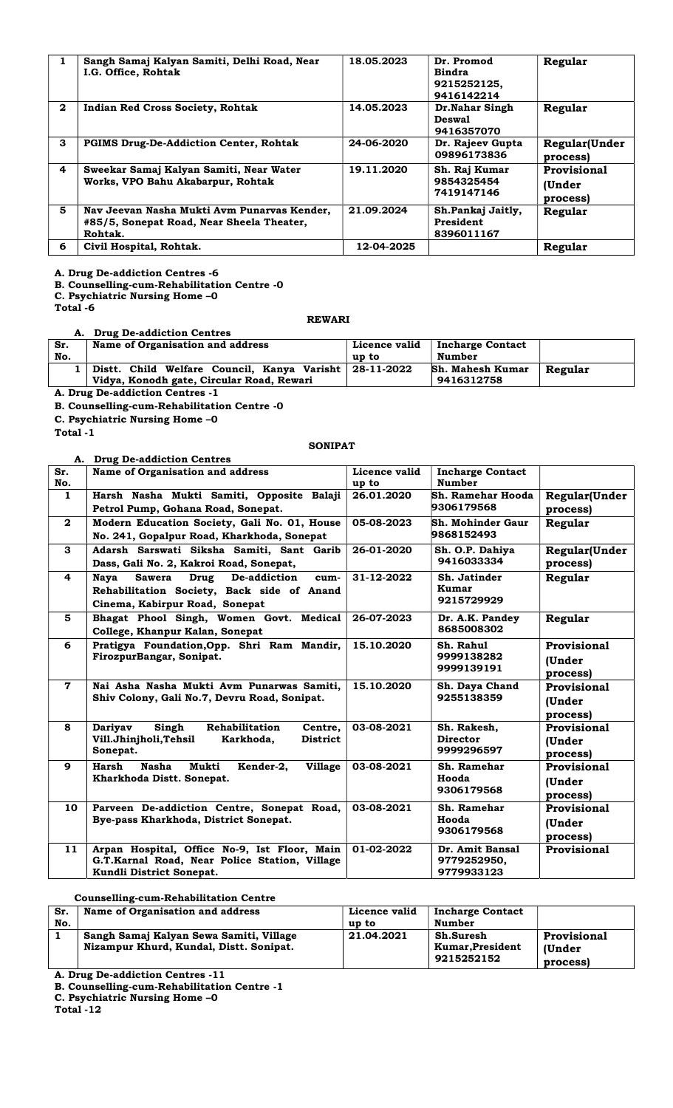|              | Sangh Samaj Kalyan Samiti, Delhi Road, Near<br>I.G. Office, Rohtak                                  | 18.05.2023 | Dr. Promod<br>Bindra<br>9215252125,<br>9416142214 | Regular                           |
|--------------|-----------------------------------------------------------------------------------------------------|------------|---------------------------------------------------|-----------------------------------|
| $\mathbf{2}$ | <b>Indian Red Cross Society, Rohtak</b>                                                             | 14.05.2023 | Dr.Nahar Singh<br><b>Deswal</b><br>9416357070     | Regular                           |
| 3            | <b>PGIMS Drug-De-Addiction Center, Rohtak</b>                                                       | 24-06-2020 | Dr. Rajeev Gupta<br>09896173836                   | Regular(Under<br>process)         |
| 4            | Sweekar Samaj Kalyan Samiti, Near Water<br>Works, VPO Bahu Akabarpur, Rohtak                        | 19.11.2020 | Sh. Raj Kumar<br>9854325454<br>7419147146         | Provisional<br>(Under<br>process) |
| 5            | Nav Jeevan Nasha Mukti Avm Punarvas Kender,<br>#85/5, Sonepat Road, Near Sheela Theater,<br>Rohtak. | 21.09.2024 | Sh.Pankaj Jaitly,<br>President<br>8396011167      | Regular                           |
| 6            | Civil Hospital, Rohtak.                                                                             | 12-04-2025 |                                                   | Regular                           |

#### B. Counselling-cum-Rehabilitation Centre -0

C. Psychiatric Nursing Home –0

Total -6

# A. Drug De-addiction Centres

#### Sr. No. Name of Organisation and address **Licence valid** up to Incharge Contact Number 1 Distt. Child Welfare Council, Kanya Varisht Vidya, Konodh gate, Circular Road, Rewari 28-11-2022 Sh. Mahesh Kumar 9416312758 Regular

REWARI

A. Drug De-addiction Centres -1

B. Counselling-cum-Rehabilitation Centre -0

C. Psychiatric Nursing Home –0

Total -1

# **SONIPAT**

|              | A. Drug De-addiction Centres                                                    |               |                                        |                           |
|--------------|---------------------------------------------------------------------------------|---------------|----------------------------------------|---------------------------|
| Sr.          | Name of Organisation and address                                                | Licence valid | <b>Incharge Contact</b>                |                           |
| No.          |                                                                                 | up to         | <b>Number</b>                          |                           |
| $\mathbf{1}$ | Harsh Nasha Mukti Samiti, Opposite Balaji<br>Petrol Pump, Gohana Road, Sonepat. | 26.01.2020    | <b>Sh. Ramehar Hooda</b><br>9306179568 | Regular(Under<br>process) |
| $\mathbf{2}$ | Modern Education Society, Gali No. 01, House                                    | 05-08-2023    | Sh. Mohinder Gaur                      | Regular                   |
|              | No. 241, Gopalpur Road, Kharkhoda, Sonepat                                      |               | 9868152493                             |                           |
| 3            | Adarsh Sarswati Siksha Samiti, Sant Garib                                       | 26-01-2020    | Sh. O.P. Dahiya                        | <b>Regular</b> (Under     |
|              | Dass, Gali No. 2, Kakroi Road, Sonepat,                                         |               | 9416033334                             | process)                  |
| 4            | De-addiction<br><b>Nava</b><br><b>Sawera</b><br>Drug<br>cum-                    | 31-12-2022    | Sh. Jatinder                           | Regular                   |
|              | Rehabilitation Society, Back side of Anand                                      |               | Kumar                                  |                           |
|              | Cinema, Kabirpur Road, Sonepat                                                  |               | 9215729929                             |                           |
| 5.           | Bhagat Phool Singh, Women Govt. Medical                                         | 26-07-2023    | Dr. A.K. Pandey                        | Regular                   |
|              | College, Khanpur Kalan, Sonepat                                                 |               | 8685008302                             |                           |
| 6            | Pratigya Foundation, Opp. Shri Ram Mandir,                                      | 15.10.2020    | Sh. Rahul                              | Provisional               |
|              | FirozpurBangar, Sonipat.                                                        |               | 9999138282                             | (Under                    |
|              |                                                                                 |               | 9999139191                             | process)                  |
| $\mathbf 7$  | Nai Asha Nasha Mukti Avm Punarwas Samiti.                                       | 15.10.2020    | Sh. Daya Chand                         | Provisional               |
|              | Shiv Colony, Gali No.7, Devru Road, Sonipat.                                    |               | 9255138359                             |                           |
|              |                                                                                 |               |                                        | (Under                    |
|              |                                                                                 |               |                                        | process)                  |
| 8            | Rehabilitation<br>Dariyav<br>Singh<br>Centre,                                   | 03-08-2021    | Sh. Rakesh,                            | Provisional               |
|              | Vill.Jhinjholi,Tehsil<br>Karkhoda,<br><b>District</b>                           |               | <b>Director</b>                        | (Under                    |
|              | Sonepat.                                                                        |               | 9999296597                             | process)                  |
| 9            | <b>Nasha</b><br>Mukti<br>Kender-2,<br>Harsh<br><b>Village</b>                   | 03-08-2021    | Sh. Ramehar                            | Provisional               |
|              | Kharkhoda Distt. Sonepat.                                                       |               | Hooda                                  | (Under                    |
|              |                                                                                 |               | 9306179568                             | process)                  |
| 10           | Parveen De-addiction Centre, Sonepat Road,                                      | 03-08-2021    | Sh. Ramehar                            | Provisional               |
|              | Bye-pass Kharkhoda, District Sonepat.                                           |               | Hooda                                  | (Under                    |
|              |                                                                                 |               | 9306179568                             | process)                  |
| 11           | Arpan Hospital, Office No-9, Ist Floor, Main                                    | 01-02-2022    | Dr. Amit Bansal                        | Provisional               |
|              | G.T.Karnal Road, Near Police Station, Village                                   |               | 9779252950.                            |                           |
|              | Kundli District Sonepat.                                                        |               | 9779933123                             |                           |

#### Counselling-cum-Rehabilitation Centre

| Sr.<br>No. | Name of Organisation and address                                                   | Licence valid<br>up to | <b>Incharge Contact</b><br>Number           |                                   |
|------------|------------------------------------------------------------------------------------|------------------------|---------------------------------------------|-----------------------------------|
|            | Sangh Samaj Kalyan Sewa Samiti, Village<br>Nizampur Khurd, Kundal, Distt. Sonipat. | 21.04.2021             | Sh.Suresh<br>Kumar, President<br>9215252152 | Provisional<br>(Under<br>process) |

A. Drug De-addiction Centres -11

B. Counselling-cum-Rehabilitation Centre -1

C. Psychiatric Nursing Home –0

Total -12